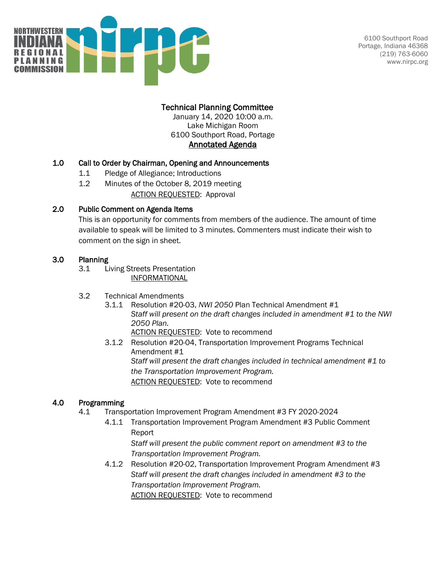

## Technical Planning Committee

January 14, 2020 10:00 a.m. Lake Michigan Room 6100 Southport Road, Portage Annotated Agenda

#### 1.0 Call to Order by Chairman, Opening and Announcements

- 1.1 Pledge of Allegiance; Introductions
- 1.2 Minutes of the October 8, 2019 meeting (pp. 1-2) ACTION REQUESTED: Approval

#### 2.0 Public Comment on Agenda Items

This is an opportunity for comments from members of the audience. The amount of time available to speak will be limited to 3 minutes. Commenters must indicate their wish to comment on the sign in sheet.

#### 3.0 Planning

- 3.1 Living Streets Presentation (pp. 3-8) INFORMATIONAL
- 3.2 Technical Amendments
	- 3.1.1 Resolution #20-03, *NWI 2050* Plan Technical Amendment #1 (pp. 9-11) *Staff will present on the draft changes included in amendment #1 to the NWI 2050 Plan. ACTION REQUESTED:* Vote to recommend
	- 3.1.2 Resolution #20-04, Transportation Improvement Programs Technical Amendment #1 (pp. 12-14) *Staff will present the draft changes included in technical amendment #1 to the Transportation Improvement Program. ACTION REQUESTED:* Vote to recommend

#### 4.0 Programming

- 4.1 Transportation Improvement Program Amendment #3 FY 2020-2024
	- 4.1.1 Transportation Improvement Program Amendment #3 Public Comment Report (pp. 15-17) *Staff will present the public comment report on amendment #3 to the Transportation Improvement Program.*
	- 4.1.2 Resolution #20-02, Transportation Improvement Program Amendment #3 (pp. 18-51) *Staff will present the draft changes included in amendment #3 to the Transportation Improvement Program. ACTION REQUESTED:* Vote to recommend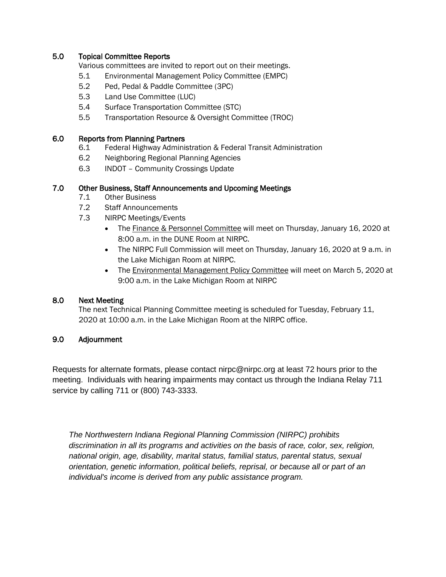#### 5.0 Topical Committee Reports

Various committees are invited to report out on their meetings.

- 5.1 Environmental Management Policy Committee (EMPC)
- 5.2 Ped, Pedal & Paddle Committee (3PC)
- 5.3 Land Use Committee (LUC)
- 5.4 Surface Transportation Committee (STC)
- 5.5 Transportation Resource & Oversight Committee (TROC)

#### 6.0 Reports from Planning Partners

- 6.1 Federal Highway Administration & Federal Transit Administration
- 6.2 Neighboring Regional Planning Agencies
- 6.3 INDOT Community Crossings Update

#### 7.0 Other Business, Staff Announcements and Upcoming Meetings

- 7.1 Other Business
- 7.2 Staff Announcements
- 7.3 NIRPC Meetings/Events
	- The Finance & Personnel Committee will meet on Thursday, January 16, 2020 at 8:00 a.m. in the DUNE Room at NIRPC.
	- The NIRPC Full Commission will meet on Thursday, January 16, 2020 at 9 a.m. in the Lake Michigan Room at NIRPC.
	- The Environmental Management Policy Committee will meet on March 5, 2020 at 9:00 a.m. in the Lake Michigan Room at NIRPC

#### 8.0 Next Meeting

The next Technical Planning Committee meeting is scheduled for Tuesday, February 11, 2020 at 10:00 a.m. in the Lake Michigan Room at the NIRPC office.

#### 9.0 Adjournment

Requests for alternate formats, please contact nirpc@nirpc.org at least 72 hours prior to the meeting. Individuals with hearing impairments may contact us through the Indiana Relay 711 service by calling 711 or (800) 743-3333.

*The Northwestern Indiana Regional Planning Commission (NIRPC) prohibits discrimination in all its programs and activities on the basis of race, color, sex, religion, national origin, age, disability, marital status, familial status, parental status, sexual orientation, genetic information, political beliefs, reprisal, or because all or part of an individual's income is derived from any public assistance program.*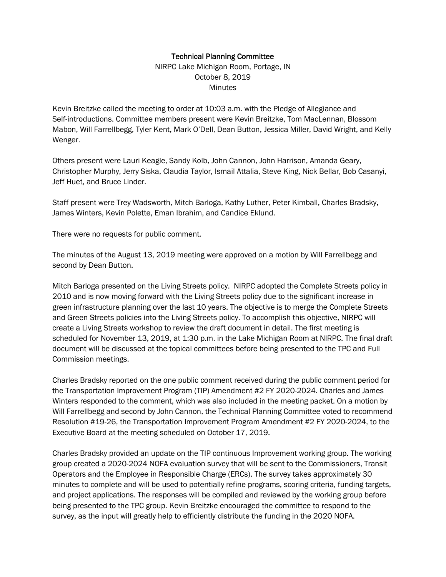#### Technical Planning Committee

NIRPC Lake Michigan Room, Portage, IN October 8, 2019 **Minutes** 

Kevin Breitzke called the meeting to order at 10:03 a.m. with the Pledge of Allegiance and Self-introductions. Committee members present were Kevin Breitzke, Tom MacLennan, Blossom Mabon, Will Farrellbegg, Tyler Kent, Mark O'Dell, Dean Button, Jessica Miller, David Wright, and Kelly Wenger.

Others present were Lauri Keagle, Sandy Kolb, John Cannon, John Harrison, Amanda Geary, Christopher Murphy, Jerry Siska, Claudia Taylor, Ismail Attalia, Steve King, Nick Bellar, Bob Casanyi, Jeff Huet, and Bruce Linder.

Staff present were Trey Wadsworth, Mitch Barloga, Kathy Luther, Peter Kimball, Charles Bradsky, James Winters, Kevin Polette, Eman Ibrahim, and Candice Eklund.

There were no requests for public comment.

The minutes of the August 13, 2019 meeting were approved on a motion by Will Farrellbegg and second by Dean Button.

Mitch Barloga presented on the Living Streets policy. NIRPC adopted the Complete Streets policy in 2010 and is now moving forward with the Living Streets policy due to the significant increase in green infrastructure planning over the last 10 years. The objective is to merge the Complete Streets and Green Streets policies into the Living Streets policy. To accomplish this objective, NIRPC will create a Living Streets workshop to review the draft document in detail. The first meeting is scheduled for November 13, 2019, at 1:30 p.m. in the Lake Michigan Room at NIRPC. The final draft document will be discussed at the topical committees before being presented to the TPC and Full Commission meetings.

Charles Bradsky reported on the one public comment received during the public comment period for the Transportation Improvement Program (TIP) Amendment #2 FY 2020-2024. Charles and James Winters responded to the comment, which was also included in the meeting packet. On a motion by Will Farrellbegg and second by John Cannon, the Technical Planning Committee voted to recommend Resolution #19-26, the Transportation Improvement Program Amendment #2 FY 2020-2024, to the Executive Board at the meeting scheduled on October 17, 2019.

Charles Bradsky provided an update on the TIP continuous Improvement working group. The working group created a 2020-2024 NOFA evaluation survey that will be sent to the Commissioners, Transit Operators and the Employee in Responsible Charge (ERCs). The survey takes approximately 30 minutes to complete and will be used to potentially refine programs, scoring criteria, funding targets, and project applications. The responses will be compiled and reviewed by the working group before being presented to the TPC group. Kevin Breitzke encouraged the committee to respond to the survey, as the input will greatly help to efficiently distribute the funding in the 2020 NOFA.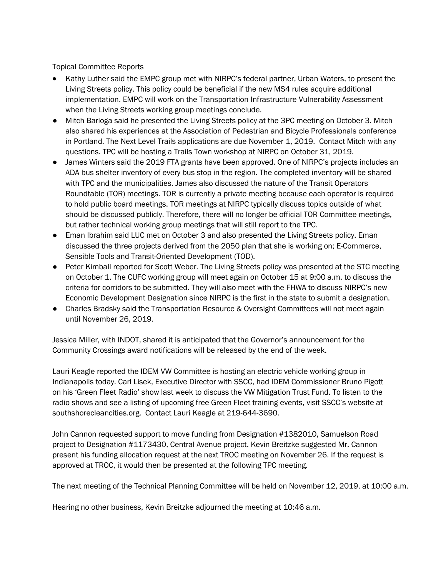Topical Committee Reports

- Kathy Luther said the EMPC group met with NIRPC's federal partner, Urban Waters, to present the Living Streets policy. This policy could be beneficial if the new MS4 rules acquire additional implementation. EMPC will work on the Transportation Infrastructure Vulnerability Assessment when the Living Streets working group meetings conclude.
- Mitch Barloga said he presented the Living Streets policy at the 3PC meeting on October 3. Mitch also shared his experiences at the Association of Pedestrian and Bicycle Professionals conference in Portland. The Next Level Trails applications are due November 1, 2019. Contact Mitch with any questions. TPC will be hosting a Trails Town workshop at NIRPC on October 31, 2019.
- James Winters said the 2019 FTA grants have been approved. One of NIRPC's projects includes an ADA bus shelter inventory of every bus stop in the region. The completed inventory will be shared with TPC and the municipalities. James also discussed the nature of the Transit Operators Roundtable (TOR) meetings. TOR is currently a private meeting because each operator is required to hold public board meetings. TOR meetings at NIRPC typically discuss topics outside of what should be discussed publicly. Therefore, there will no longer be official TOR Committee meetings, but rather technical working group meetings that will still report to the TPC.
- Eman Ibrahim said LUC met on October 3 and also presented the Living Streets policy. Eman discussed the three projects derived from the 2050 plan that she is working on; E-Commerce, Sensible Tools and Transit-Oriented Development (TOD).
- Peter Kimball reported for Scott Weber. The Living Streets policy was presented at the STC meeting on October 1. The CUFC working group will meet again on October 15 at 9:00 a.m. to discuss the criteria for corridors to be submitted. They will also meet with the FHWA to discuss NIRPC's new Economic Development Designation since NIRPC is the first in the state to submit a designation.
- Charles Bradsky said the Transportation Resource & Oversight Committees will not meet again until November 26, 2019.

Jessica Miller, with INDOT, shared it is anticipated that the Governor's announcement for the Community Crossings award notifications will be released by the end of the week.

Lauri Keagle reported the IDEM VW Committee is hosting an electric vehicle working group in Indianapolis today. Carl Lisek, Executive Director with SSCC, had IDEM Commissioner Bruno Pigott on his 'Green Fleet Radio' show last week to discuss the VW Mitigation Trust Fund. To listen to the radio shows and see a listing of upcoming free Green Fleet training events, visit SSCC's website at southshorecleancities.org. Contact Lauri Keagle at 219-644-3690.

John Cannon requested support to move funding from Designation #1382010, Samuelson Road project to Designation #1173430, Central Avenue project. Kevin Breitzke suggested Mr. Cannon present his funding allocation request at the next TROC meeting on November 26. If the request is approved at TROC, it would then be presented at the following TPC meeting.

The next meeting of the Technical Planning Committee will be held on November 12, 2019, at 10:00 a.m.

Hearing no other business, Kevin Breitzke adjourned the meeting at 10:46 a.m.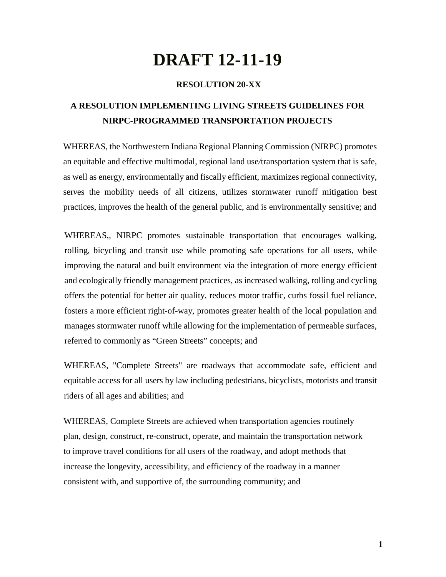# **DRAFT 12-11-19**

#### **RESOLUTION 20-XX**

# **A RESOLUTION IMPLEMENTING LIVING STREETS GUIDELINES FOR NIRPC-PROGRAMMED TRANSPORTATION PROJECTS**

WHEREAS, the Northwestern Indiana Regional Planning Commission (NIRPC) promotes an equitable and effective multimodal, regional land use*/*transportation system that is safe, as well as energy, environmentally and fiscally efficient, maximizes regional connectivity, ser*v*es the mobility needs of all citizens, utilizes stormwater runoff mitigation best practices, improves the health of the general public, and is environmentally sensitive; and

WHEREAS,, NIRPC promotes sustainable transportation that encourages walking, rolling, bicycling and transit use while promoting safe operations for all users, while improving the natural and built environment via the integration of more energy efficient and ecologically friendly management practices, as increased walking, rolling and cycling offers the potential for better air quality, reduces motor traffic, curbs fossil fuel reliance, fosters a more efficient right-of-way, promotes greater health of the local population and manages stormwater runoff while allowing for the implementation of permeable surfaces, referred to commonly as "Green Streets" concepts; and

WHEREAS, "Complete Streets" are roadways that accommodate safe, efficient and equitable access for all users by law including pedestrians, bicyclists, motorists and transit riders of all ages and abilities; and

WHEREAS, Complete Streets are achieved when transportation agencies routinely plan, design, construct, re-construct, operate, and maintain the transportation network to improve travel conditions for all users of the roadway, and adopt methods that increase the longevity, accessibility, and efficiency of the roadway in a manner consistent with, and supportive of, the surrounding community; and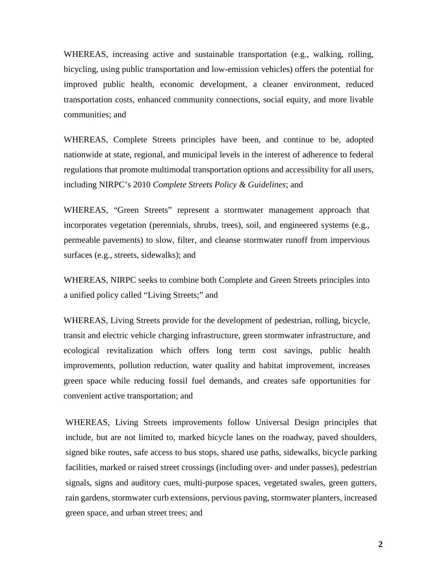WHEREAS, increasing active and sustainable transportation (e.g., walking, rolling, bicycling, using public transportation and low-emission vehicles) offers the potential for improved public health, economic development, a cleaner environment, reduced transportation costs, enhanced community connections, social equity, and more livable communities; and

WHEREAS, Complete Streets principles have been, and continue to be, adopted nationwide at state, regional, and municipal levels in the interest of adherence to federal regulations that promote multimodal transportation options and accessibility for all users, including NIRPC's 2010 *Complete Streets Policy & Guidelines*; and

WHEREAS, "Green Streets" represent a stormwater management approach that incorporates vegetation (perennials, shrubs, trees), soil, and engineered systems (e.g., permeable pavements) to slow, filter, and cleanse stormwater runoff from impervious surfaces (e.g., streets, sidewalks); and

WHEREAS, NIRPC seeks to combine both Complete and Green Streets principles into a unified policy called "Living Streets;" and

WHEREAS, Living Streets provide for the development of pedestrian, rolling, bicycle, transit and electric vehicle charging infrastructure, green stormwater infrastructure, and ecological revitalization which offers long term cost savings, public health improvements, pollution reduction, water quality and habitat improvement, increases green space while reducing fossil fuel demands, and creates safe opportunities for convenient active transportation; and

WHEREAS, Living Streets improvements follow Universal Design principles that include, but are not limited to, marked bicycle lanes on the roadway, paved shoulders, signed bike routes, safe access to bus stops, shared use paths, sidewalks, bicycle parking facilities, marked or raised street crossings (including over- and under passes), pedestrian signals, signs and auditory cues, multi-purpose spaces, vegetated swales, green gutters, rain gardens, stormwater curb extensions, pervious paving, stormwater planters, increased green space, and urban street trees; and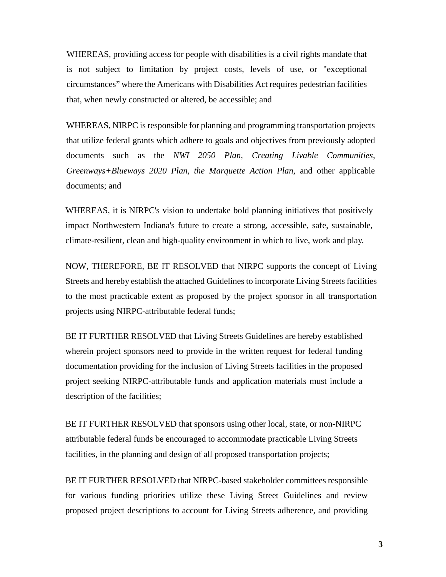WHEREAS, providing access for people with disabilities is a civil rights mandate that is not subject to limitation by project costs, levels of use, or "exceptional circumstances" where the Americans with Disabilities Act requires pedestrian facilities that, when newly constructed or altered, be accessible; and

WHEREAS, NIRPC is responsible for planning and programming transportation projects that utilize federal grants which adhere to goals and objectives from previously adopted documents such as the *NWI 2050 Plan, Creating Livable Communities, Greenways+Blueways 2020 Plan, the Marquette Action Plan,* and other applicable documents; and

WHEREAS, it is NIRPC's vision to undertake bold planning initiatives that positively impact Northwestern Indiana's future to create a strong, accessible, safe, sustainable, climate-resilient, clean and high-quality environment in which to live, work and play.

NOW, THEREFORE, BE IT RESOLVED that NIRPC supports the concept of Living Streets and hereby establish the attached Guidelines to incorporate Living Streets facilities to the most practicable extent as proposed by the project sponsor in all transportation projects using NIRPC-attributable federal funds;

BE IT FURTHER RESOLVED that Living Streets Guidelines are hereby established wherein project sponsors need to provide in the written request for federal funding documentation providing for the inclusion of Living Streets facilities in the proposed project seeking NIRPC-attributable funds and application materials must include a description of the facilities;

BE IT FURTHER RESOLVED that sponsors using other local, state, or non-NIRPC attributable federal funds be encouraged to accommodate practicable Living Streets facilities, in the planning and design of all proposed transportation projects;

BE IT FURTHER RESOLVED that NIRPC-based stakeholder committees responsible for various funding priorities utilize these Living Street Guidelines and review proposed project descriptions to account for Living Streets adherence, and providing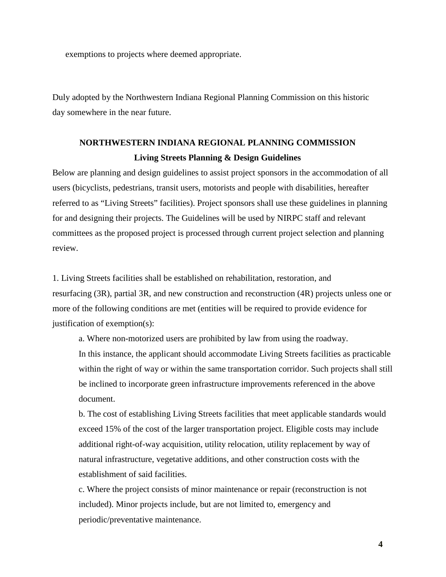exemptions to projects where deemed appropriate.

Duly adopted by the Northwestern Indiana Regional Planning Commission on this historic day somewhere in the near future.

# **NORTHWESTERN INDIANA REGIONAL PLANNING COMMISSION Living Streets Planning & Design Guidelines**

Below are planning and design guidelines to assist project sponsors in the accommodation of all users (bicyclists, pedestrians, transit users, motorists and people with disabilities, hereafter referred to as "Living Streets" facilities). Project sponsors shall use these guidelines in planning for and designing their projects. The Guidelines will be used by NIRPC staff and relevant committees as the proposed project is processed through current project selection and planning review.

1. Living Streets facilities shall be established on rehabilitation, restoration, and resurfacing (3R), partial 3R, and new construction and reconstruction (4R) projects unless one or more of the following conditions are met (entities will be required to provide evidence for justification of exemption(s):

a. Where non-motorized users are prohibited by law from using the roadway. In this instance, the applicant should accommodate Living Streets facilities as practicable within the right of way or within the same transportation corridor. Such projects shall still be inclined to incorporate green infrastructure improvements referenced in the above document.

b. The cost of establishing Living Streets facilities that meet applicable standards would exceed 15% of the cost of the larger transportation project. Eligible costs may include additional right-of-way acquisition, utility relocation, utility replacement by way of natural infrastructure, vegetative additions, and other construction costs with the establishment of said facilities.

c. Where the project consists of minor maintenance or repair (reconstruction is not included). Minor projects include, but are not limited to, emergency and periodic/preventative maintenance.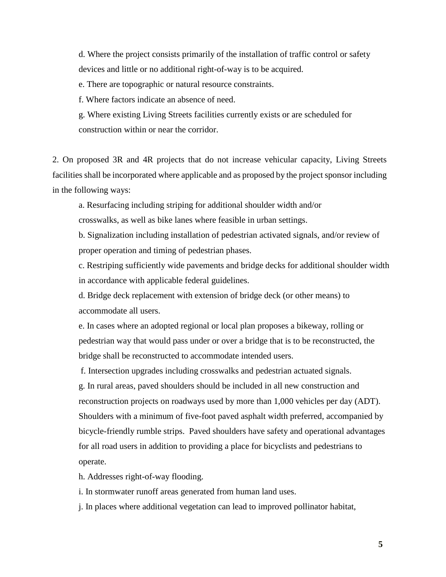d. Where the project consists primarily of the installation of traffic control or safety devices and little or no additional right-of-way is to be acquired.

e. There are topographic or natural resource constraints.

f. Where factors indicate an absence of need.

g. Where existing Living Streets facilities currently exists or are scheduled for construction within or near the corridor.

2. On proposed 3R and 4R projects that do not increase vehicular capacity, Living Streets facilities shall be incorporated where applicable and as proposed by the project sponsor including in the following ways:

a. Resurfacing including striping for additional shoulder width and/or

crosswalks, as well as bike lanes where feasible in urban settings.

b. Signalization including installation of pedestrian activated signals, and/or review of proper operation and timing of pedestrian phases.

c. Restriping sufficiently wide pavements and bridge decks for additional shoulder width in accordance with applicable federal guidelines.

d. Bridge deck replacement with extension of bridge deck (or other means) to accommodate all users.

e. In cases where an adopted regional or local plan proposes a bikeway, rolling or pedestrian way that would pass under or over a bridge that is to be reconstructed, the bridge shall be reconstructed to accommodate intended users.

f. Intersection upgrades including crosswalks and pedestrian actuated signals.

g. In rural areas, paved shoulders should be included in all new construction and reconstruction projects on roadways used by more than 1,000 vehicles per day (ADT). Shoulders with a minimum of five-foot paved asphalt width preferred, accompanied by bicycle-friendly rumble strips. Paved shoulders have safety and operational advantages for all road users in addition to providing a place for bicyclists and pedestrians to operate.

h. Addresses right-of-way flooding.

i. In stormwater runoff areas generated from human land uses.

j. In places where additional vegetation can lead to improved pollinator habitat,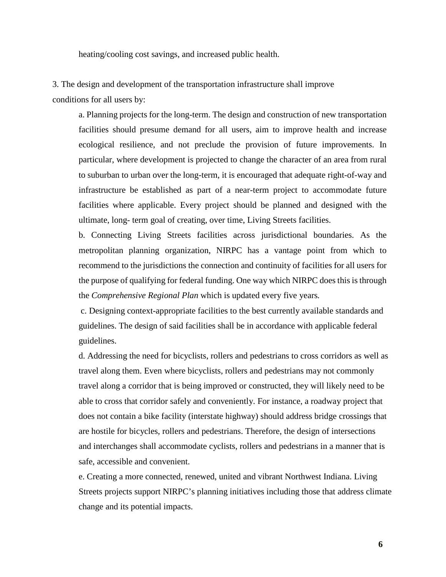heating/cooling cost savings, and increased public health.

3. The design and development of the transportation infrastructure shall improve conditions for all users by:

a. Planning projects for the long-term. The design and construction of new transportation facilities should presume demand for all users, aim to improve health and increase ecological resilience, and not preclude the provision of future improvements. In particular, where development is projected to change the character of an area from rural to suburban to urban over the long-term, it is encouraged that adequate right-of-way and infrastructure be established as part of a near-term project to accommodate future facilities where applicable. Every project should be planned and designed with the ultimate, long- term goal of creating, over time, Living Streets facilities.

b. Connecting Living Streets facilities across jurisdictional boundaries. As the metropolitan planning organization, NIRPC has a vantage point from which to recommend to the jurisdictions the connection and continuity of facilities for all users for the purpose of qualifying for federal funding. One way which NIRPC does this is through the *Comprehensive Regional Plan* which is updated every five years*.* 

c. Designing context-appropriate facilities to the best currently available standards and guidelines. The design of said facilities shall be in accordance with applicable federal guidelines.

d. Addressing the need for bicyclists, rollers and pedestrians to cross corridors as well as travel along them. Even where bicyclists, rollers and pedestrians may not commonly travel along a corridor that is being improved or constructed, they will likely need to be able to cross that corridor safely and conveniently. For instance, a roadway project that does not contain a bike facility (interstate highway) should address bridge crossings that are hostile for bicycles, rollers and pedestrians. Therefore, the design of intersections and interchanges shall accommodate cyclists, rollers and pedestrians in a manner that is safe, accessible and convenient.

e. Creating a more connected, renewed, united and vibrant Northwest Indiana. Living Streets projects support NIRPC's planning initiatives including those that address climate change and its potential impacts.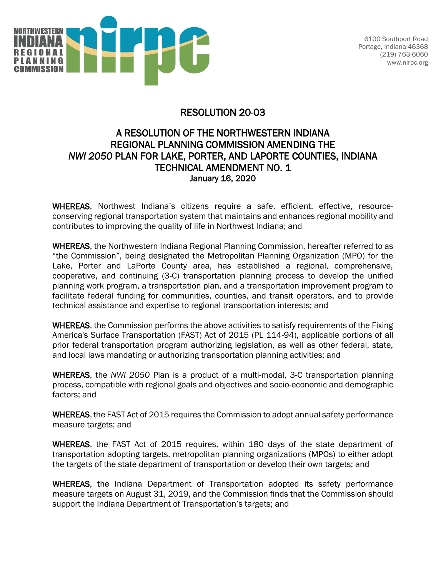

6100 Southport Road Portage, Indiana 46368 (219) 763-6060 www.nirpc.org

# RESOLUTION 20-03

# A RESOLUTION OF THE NORTHWESTERN INDIANA REGIONAL PLANNING COMMISSION AMENDING THE *NWI 2050* PLAN FOR LAKE, PORTER, AND LAPORTE COUNTIES, INDIANA TECHNICAL AMENDMENT NO. 1 January 16, 2020

WHEREAS, Northwest Indiana's citizens require a safe, efficient, effective, resourceconserving regional transportation system that maintains and enhances regional mobility and contributes to improving the quality of life in Northwest Indiana; and

WHEREAS, the Northwestern Indiana Regional Planning Commission, hereafter referred to as "the Commission", being designated the Metropolitan Planning Organization (MPO) for the Lake, Porter and LaPorte County area, has established a regional, comprehensive, cooperative, and continuing (3-C) transportation planning process to develop the unified planning work program, a transportation plan, and a transportation improvement program to facilitate federal funding for communities, counties, and transit operators, and to provide technical assistance and expertise to regional transportation interests; and

WHEREAS, the Commission performs the above activities to satisfy requirements of the Fixing America's Surface Transportation (FAST) Act of 2015 (PL 114-94), applicable portions of all prior federal transportation program authorizing legislation, as well as other federal, state, and local laws mandating or authorizing transportation planning activities; and

WHEREAS, the *NWI 2050* Plan is a product of a multi-modal, 3-C transportation planning process, compatible with regional goals and objectives and socio-economic and demographic factors; and

WHEREAS, the FAST Act of 2015 requires the Commission to adopt annual safety performance measure targets; and

WHEREAS, the FAST Act of 2015 requires, within 180 days of the state department of transportation adopting targets, metropolitan planning organizations (MPOs) to either adopt the targets of the state department of transportation or develop their own targets; and

WHEREAS, the Indiana Department of Transportation adopted its safety performance measure targets on August 31, 2019, and the Commission finds that the Commission should support the Indiana Department of Transportation's targets; and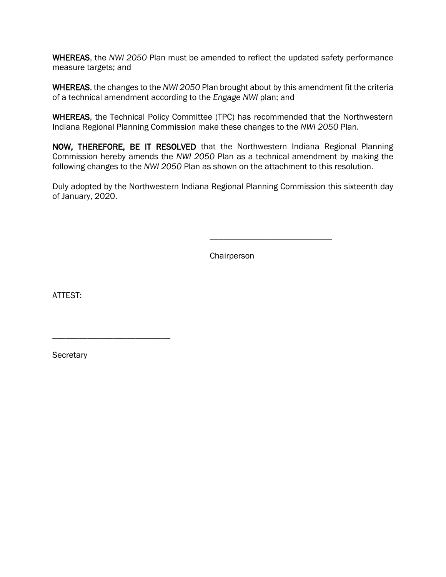WHEREAS, the *NWI 2050* Plan must be amended to reflect the updated safety performance measure targets; and

WHEREAS, the changes to the *NWI 2050* Plan brought about by this amendment fit the criteria of a technical amendment according to the *Engage NWI* plan; and

WHEREAS, the Technical Policy Committee (TPC) has recommended that the Northwestern Indiana Regional Planning Commission make these changes to the *NWI 2050* Plan.

NOW, THEREFORE, BE IT RESOLVED that the Northwestern Indiana Regional Planning Commission hereby amends the *NWI 2050* Plan as a technical amendment by making the following changes to the *NWI 2050* Plan as shown on the attachment to this resolution.

Duly adopted by the Northwestern Indiana Regional Planning Commission this sixteenth day of January, 2020.

Chairperson

\_\_\_\_\_\_\_\_\_\_\_\_\_\_\_\_\_\_\_\_\_\_\_\_\_\_\_\_

ATTEST:

**Secretary** 

\_\_\_\_\_\_\_\_\_\_\_\_\_\_\_\_\_\_\_\_\_\_\_\_\_\_\_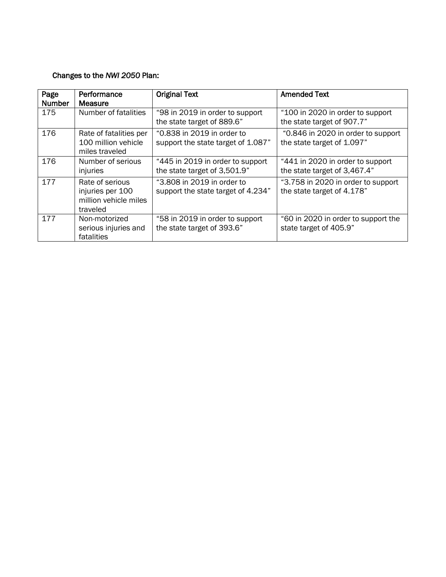### Changes to the *NWI 2050* Plan:

| Page<br><b>Number</b> | Performance<br><b>Measure</b>                                            | <b>Original Text</b>                                             | <b>Amended Text</b>                                              |
|-----------------------|--------------------------------------------------------------------------|------------------------------------------------------------------|------------------------------------------------------------------|
| 175                   | Number of fatalities                                                     | "98 in 2019 in order to support<br>the state target of 889.6"    | "100 in 2020 in order to support<br>the state target of 907.7"   |
| 176                   | Rate of fatalities per<br>100 million vehicle<br>miles traveled          | "0.838 in 2019 in order to<br>support the state target of 1.087" | "0.846 in 2020 in order to support<br>the state target of 1.097" |
| 176                   | Number of serious<br>injuries                                            | "445 in 2019 in order to support<br>the state target of 3,501.9" | "441 in 2020 in order to support<br>the state target of 3,467.4" |
| 177                   | Rate of serious<br>injuries per 100<br>million vehicle miles<br>traveled | "3.808 in 2019 in order to<br>support the state target of 4.234" | "3.758 in 2020 in order to support<br>the state target of 4.178" |
| 177                   | Non-motorized<br>serious injuries and<br>fatalities                      | "58 in 2019 in order to support<br>the state target of 393.6"    | "60 in 2020 in order to support the<br>state target of 405.9"    |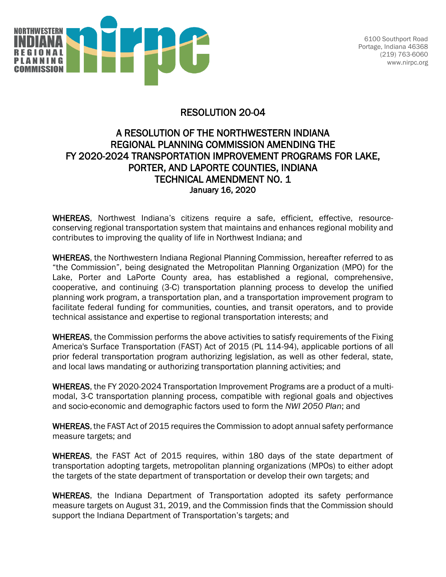

6100 Southport Road Portage, Indiana 46368 (219) 763-6060 www.nirpc.org

# RESOLUTION 20-04

# A RESOLUTION OF THE NORTHWESTERN INDIANA REGIONAL PLANNING COMMISSION AMENDING THE FY 2020-2024 TRANSPORTATION IMPROVEMENT PROGRAMS FOR LAKE, PORTER, AND LAPORTE COUNTIES, INDIANA TECHNICAL AMENDMENT NO. 1 January 16, 2020

WHEREAS, Northwest Indiana's citizens require a safe, efficient, effective, resourceconserving regional transportation system that maintains and enhances regional mobility and contributes to improving the quality of life in Northwest Indiana; and

WHEREAS, the Northwestern Indiana Regional Planning Commission, hereafter referred to as "the Commission", being designated the Metropolitan Planning Organization (MPO) for the Lake, Porter and LaPorte County area, has established a regional, comprehensive, cooperative, and continuing (3-C) transportation planning process to develop the unified planning work program, a transportation plan, and a transportation improvement program to facilitate federal funding for communities, counties, and transit operators, and to provide technical assistance and expertise to regional transportation interests; and

WHEREAS, the Commission performs the above activities to satisfy requirements of the Fixing America's Surface Transportation (FAST) Act of 2015 (PL 114-94), applicable portions of all prior federal transportation program authorizing legislation, as well as other federal, state, and local laws mandating or authorizing transportation planning activities; and

WHEREAS, the FY 2020-2024 Transportation Improvement Programs are a product of a multimodal, 3-C transportation planning process, compatible with regional goals and objectives and socio-economic and demographic factors used to form the *NWI 2050 Plan*; and

WHEREAS, the FAST Act of 2015 requires the Commission to adopt annual safety performance measure targets; and

WHEREAS, the FAST Act of 2015 requires, within 180 days of the state department of transportation adopting targets, metropolitan planning organizations (MPOs) to either adopt the targets of the state department of transportation or develop their own targets; and

WHEREAS, the Indiana Department of Transportation adopted its safety performance measure targets on August 31, 2019, and the Commission finds that the Commission should support the Indiana Department of Transportation's targets; and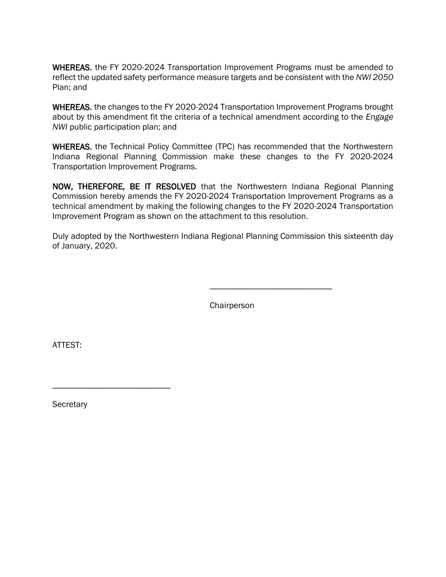WHEREAS, the FY 2020-2024 Transportation Improvement Programs must be amended to reflect the updated safety performance measure targets and be consistent with the *NWI 2050*  Plan; and

WHEREAS, the changes to the FY 2020-2024 Transportation Improvement Programs brought about by this amendment fit the criteria of a technical amendment according to the *Engage NWI* public participation plan; and

WHEREAS, the Technical Policy Committee (TPC) has recommended that the Northwestern Indiana Regional Planning Commission make these changes to the FY 2020-2024 Transportation Improvement Programs.

NOW, THEREFORE, BE IT RESOLVED that the Northwestern Indiana Regional Planning Commission hereby amends the FY 2020-2024 Transportation Improvement Programs as a technical amendment by making the following changes to the FY 2020-2024 Transportation Improvement Program as shown on the attachment to this resolution.

Duly adopted by the Northwestern Indiana Regional Planning Commission this sixteenth day of January, 2020.

**Chairperson** 

\_\_\_\_\_\_\_\_\_\_\_\_\_\_\_\_\_\_\_\_\_\_\_\_\_\_\_\_

ATTEST:

**Secretary** 

\_\_\_\_\_\_\_\_\_\_\_\_\_\_\_\_\_\_\_\_\_\_\_\_\_\_\_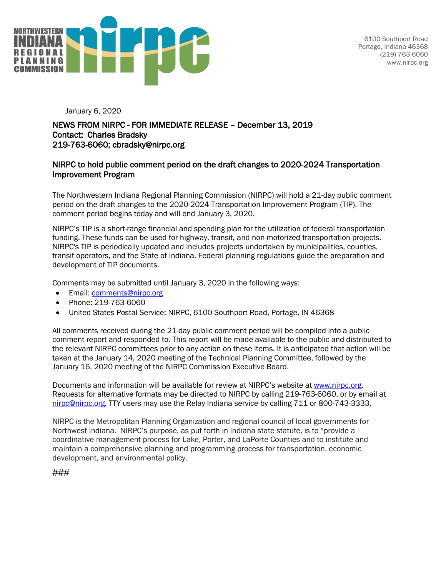

6100 Southport Road Portage, Indiana 46368 (219) 763-6060 www.nirpc.org

January 6, 2020

#### NEWS FROM NIRPC - FOR IMMEDIATE RELEASE – December 13, 2019 Contact: Charles Bradsky 219-763-6060; cbradsky@nirpc.org

#### NIRPC to hold public comment period on the draft changes to 2020-2024 Transportation Improvement Program

The Northwestern Indiana Regional Planning Commission (NIRPC) will hold a 21-day public comment period on the draft changes to the 2020-2024 Transportation Improvement Program (TIP). The comment period begins today and will end January 3, 2020.

NIRPC's TIP is a short-range financial and spending plan for the utilization of federal transportation funding. These funds can be used for highway, transit, and non-motorized transportation projects. NIRPC's TIP is periodically updated and includes projects undertaken by municipalities, counties, transit operators, and the State of Indiana. Federal planning regulations guide the preparation and development of TIP documents.

Comments may be submitted until January 3, 2020 in the following ways:

- Email: [comments@nirpc.org](mailto:comments@nirpc.org)
- Phone: 219-763-6060
- United States Postal Service: NIRPC, 6100 Southport Road, Portage, IN 46368

All comments received during the 21-day public comment period will be compiled into a public comment report and responded to. This report will be made available to the public and distributed to the relevant NIRPC committees prior to any action on these items. It is anticipated that action will be taken at the January 14, 2020 meeting of the Technical Planning Committee, followed by the January 16, 2020 meeting of the NIRPC Commission Executive Board.

Documents and information will be available for review at NIRPC's website at [www.nirpc.org.](http://www.nirpc.org/) Requests for alternative formats may be directed to NIRPC by calling 219-763-6060, or by email at [nirpc@nirpc.org.](mailto:nirpc@nirpc.org) TTY users may use the Relay Indiana service by calling 711 or 800-743-3333.

NIRPC is the Metropolitan Planning Organization and regional council of local governments for Northwest Indiana. NIRPC's purpose, as put forth in Indiana state statute, is to "provide a coordinative management process for Lake, Porter, and LaPorte Counties and to institute and maintain a comprehensive planning and programming process for transportation, economic development, and environmental policy.

###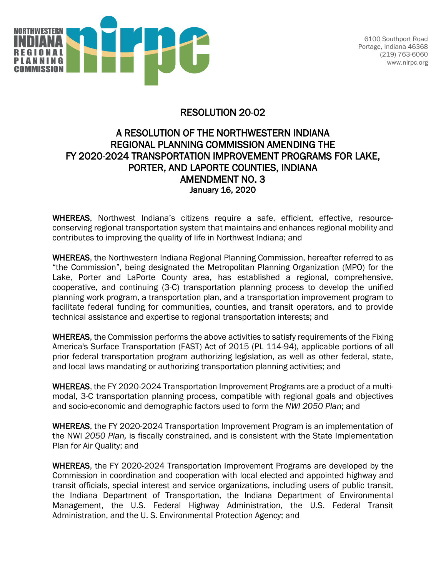

6100 Southport Road Portage, Indiana 46368 (219) 763-6060 www.nirpc.org

# RESOLUTION 20-02

# A RESOLUTION OF THE NORTHWESTERN INDIANA REGIONAL PLANNING COMMISSION AMENDING THE FY 2020-2024 TRANSPORTATION IMPROVEMENT PROGRAMS FOR LAKE, PORTER, AND LAPORTE COUNTIES, INDIANA AMENDMENT NO. 3 January 16, 2020

WHEREAS, Northwest Indiana's citizens require a safe, efficient, effective, resourceconserving regional transportation system that maintains and enhances regional mobility and contributes to improving the quality of life in Northwest Indiana; and

WHEREAS, the Northwestern Indiana Regional Planning Commission, hereafter referred to as "the Commission", being designated the Metropolitan Planning Organization (MPO) for the Lake, Porter and LaPorte County area, has established a regional, comprehensive, cooperative, and continuing (3-C) transportation planning process to develop the unified planning work program, a transportation plan, and a transportation improvement program to facilitate federal funding for communities, counties, and transit operators, and to provide technical assistance and expertise to regional transportation interests; and

WHEREAS, the Commission performs the above activities to satisfy requirements of the Fixing America's Surface Transportation (FAST) Act of 2015 (PL 114-94), applicable portions of all prior federal transportation program authorizing legislation, as well as other federal, state, and local laws mandating or authorizing transportation planning activities; and

WHEREAS, the FY 2020-2024 Transportation Improvement Programs are a product of a multimodal, 3-C transportation planning process, compatible with regional goals and objectives and socio-economic and demographic factors used to form the *NWI 2050 Plan*; and

WHEREAS, the FY 2020-2024 Transportation Improvement Program is an implementation of the NWI *2050 Plan,* is fiscally constrained, and is consistent with the State Implementation Plan for Air Quality; and

WHEREAS, the FY 2020-2024 Transportation Improvement Programs are developed by the Commission in coordination and cooperation with local elected and appointed highway and transit officials, special interest and service organizations, including users of public transit, the Indiana Department of Transportation, the Indiana Department of Environmental Management, the U.S. Federal Highway Administration, the U.S. Federal Transit Administration, and the U. S. Environmental Protection Agency; and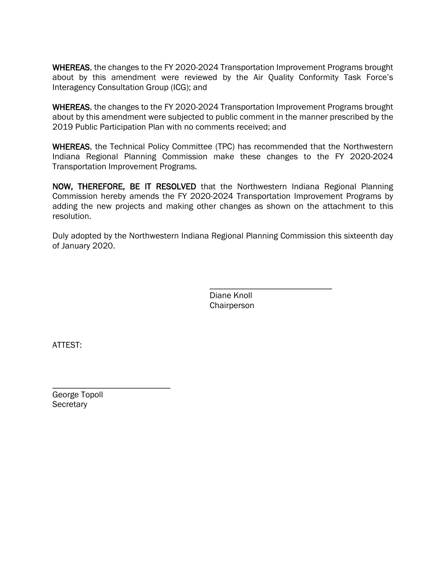WHEREAS, the changes to the FY 2020-2024 Transportation Improvement Programs brought about by this amendment were reviewed by the Air Quality Conformity Task Force's Interagency Consultation Group (ICG); and

WHEREAS, the changes to the FY 2020-2024 Transportation Improvement Programs brought about by this amendment were subjected to public comment in the manner prescribed by the 2019 Public Participation Plan with no comments received; and

WHEREAS, the Technical Policy Committee (TPC) has recommended that the Northwestern Indiana Regional Planning Commission make these changes to the FY 2020-2024 Transportation Improvement Programs.

NOW, THEREFORE, BE IT RESOLVED that the Northwestern Indiana Regional Planning Commission hereby amends the FY 2020-2024 Transportation Improvement Programs by adding the new projects and making other changes as shown on the attachment to this resolution.

Duly adopted by the Northwestern Indiana Regional Planning Commission this sixteenth day of January 2020.

> Diane Knoll **Chairperson**

\_\_\_\_\_\_\_\_\_\_\_\_\_\_\_\_\_\_\_\_\_\_\_\_\_\_\_\_

ATTEST:

\_\_\_\_\_\_\_\_\_\_\_\_\_\_\_\_\_\_\_\_\_\_\_\_\_\_\_ George Topoll **Secretary**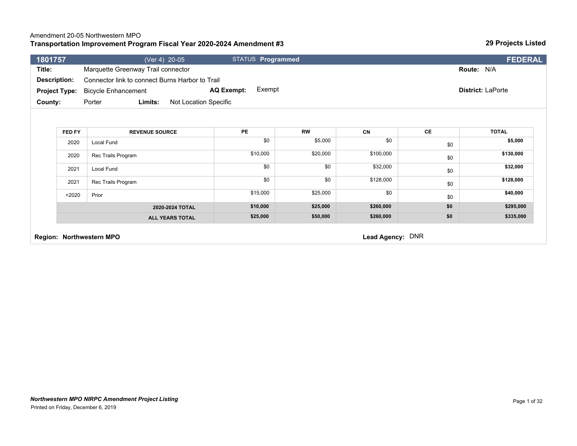### Amendment 20-05 Northwestern MPO

#### **Transportation Improvement Program Fiscal Year 2020-2024 Amendment #3**

*Northwestern MPO NIRPC Amendment Project Listing*

Printed on Friday, December 6, 2019

| Title:<br><b>Description:</b> | Marquette Greenway Trail connector<br>Connector link to connect Burns Harbor to Trail |                             |           |           |     | Route: N/A               |
|-------------------------------|---------------------------------------------------------------------------------------|-----------------------------|-----------|-----------|-----|--------------------------|
| <b>Project Type:</b>          | <b>Bicycle Enhancement</b>                                                            | Exempt<br><b>AQ Exempt:</b> |           |           |     | <b>District: LaPorte</b> |
| County:                       | Limits:<br>Not Location Specific<br>Porter                                            |                             |           |           |     |                          |
| FED FY                        | <b>REVENUE SOURCE</b>                                                                 | PE                          | <b>RW</b> | CN        | CE  | <b>TOTAL</b>             |
| 2020                          | Local Fund                                                                            | \$0                         | \$5,000   | \$0       | \$0 | \$5,000                  |
| 2020                          | Rec Trails Program                                                                    | \$10,000                    | \$20,000  | \$100,000 | \$0 | \$130,000                |
| 2021                          | Local Fund                                                                            | \$0                         | \$0       | \$32,000  | \$0 | \$32,000                 |
| 2021                          | Rec Trails Program                                                                    | \$0                         | \$0       | \$128,000 | \$0 | \$128,000                |
| $2020$                        | Prior                                                                                 | \$15,000                    | \$25,000  | \$0       | \$0 | \$40,000                 |
|                               | 2020-2024 TOTAL                                                                       | \$10,000                    | \$25,000  | \$260,000 | \$0 | \$295,000                |
|                               | <b>ALL YEARS TOTAL</b>                                                                | \$25,000                    | \$50,000  | \$260,000 | \$0 | \$335,000                |

**1801757** (Ver 4) 20-05 STATUS **Programmed FEDERAL**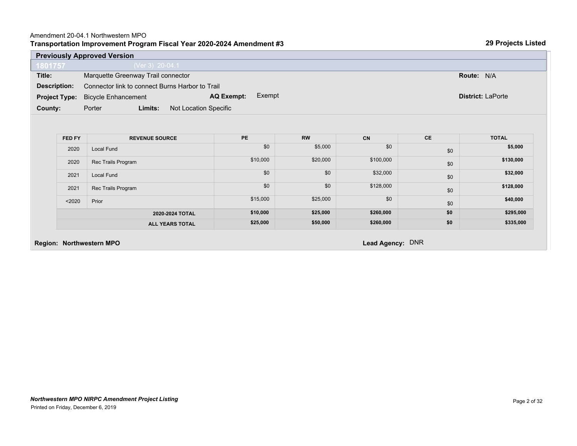#### **Transportation Improvement Program Fiscal Year 2020-2024 Amendment #3** Amendment 20-04.1 Northwestern MPO

|                      | <b>Previously Approved Version</b>              |                             |           |           |           |                          |
|----------------------|-------------------------------------------------|-----------------------------|-----------|-----------|-----------|--------------------------|
| 1801757              | (Ver 3) 20-04.1                                 |                             |           |           |           |                          |
| Title:               | Marquette Greenway Trail connector              |                             |           |           |           | Route: N/A               |
| <b>Description:</b>  | Connector link to connect Burns Harbor to Trail |                             |           |           |           |                          |
| <b>Project Type:</b> | <b>Bicycle Enhancement</b>                      | Exempt<br><b>AQ Exempt:</b> |           |           |           | <b>District: LaPorte</b> |
| County:              | Limits:<br>Not Location Specific<br>Porter      |                             |           |           |           |                          |
|                      |                                                 |                             |           |           |           |                          |
|                      |                                                 |                             |           |           |           |                          |
| FED FY               | <b>REVENUE SOURCE</b>                           | <b>PE</b>                   | <b>RW</b> | <b>CN</b> | <b>CE</b> | <b>TOTAL</b>             |
| 2020                 |                                                 |                             |           |           |           |                          |
|                      | Local Fund                                      | \$0                         | \$5,000   | \$0       | \$0       | \$5,000                  |
| 2020                 | Rec Trails Program                              | \$10,000                    | \$20,000  | \$100,000 | \$0       | \$130,000                |
| 2021                 | Local Fund                                      | \$0                         | \$0       | \$32,000  | \$0       | \$32,000                 |
| 2021                 | Rec Trails Program                              | \$0                         | \$0       | \$128,000 | \$0       | \$128,000                |
| $2020$               | Prior                                           | \$15,000                    | \$25,000  | \$0       | \$0       | \$40,000                 |
|                      | 2020-2024 TOTAL                                 | \$10,000                    | \$25,000  | \$260,000 | \$0       | \$295,000                |

#### **Region: Northwestern MPO Lead Agency:** DNR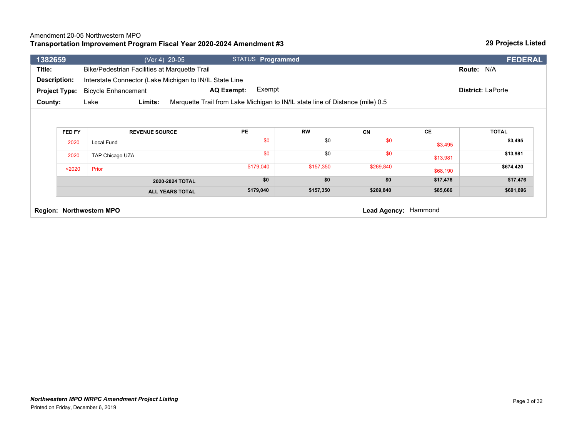#### Amendment 20-05 Northwestern MPO

#### **Transportation Improvement Program Fiscal Year 2020-2024 Amendment #3**

| 1382659 |                                                  | (Ver 4) 20-05                                           | STATUS Programmed                                                             |           |           |          | <b>FEDERAL</b>           |
|---------|--------------------------------------------------|---------------------------------------------------------|-------------------------------------------------------------------------------|-----------|-----------|----------|--------------------------|
| Title:  |                                                  | Bike/Pedestrian Facilities at Marquette Trail           |                                                                               |           |           |          | Route: N/A               |
|         | Description:                                     | Interstate Connector (Lake Michigan to IN/IL State Line |                                                                               |           |           |          |                          |
|         | <b>Project Type:</b>                             | <b>Bicycle Enhancement</b>                              | Exempt<br>AQ Exempt:                                                          |           |           |          | <b>District: LaPorte</b> |
| County: |                                                  | Limits:<br>Lake                                         | Marquette Trail from Lake Michigan to IN/IL state line of Distance (mile) 0.5 |           |           |          |                          |
|         |                                                  |                                                         |                                                                               |           |           |          |                          |
|         |                                                  |                                                         |                                                                               |           |           |          |                          |
|         | FED FY                                           | <b>REVENUE SOURCE</b>                                   | PE                                                                            | <b>RW</b> | <b>CN</b> | CE       | <b>TOTAL</b>             |
|         | 2020                                             | Local Fund                                              | \$0                                                                           | \$0       | \$0       | \$3,495  | \$3,495                  |
|         | 2020                                             | TAP Chicago UZA                                         | \$0                                                                           | \$0       | \$0       | \$13,981 | \$13,981                 |
|         | $2020$                                           | Prior                                                   | \$179,040                                                                     | \$157,350 | \$269,840 | \$68,190 | \$674,420                |
|         |                                                  | 2020-2024 TOTAL                                         | \$0                                                                           | \$0       | \$0       | \$17,476 | \$17,476                 |
|         |                                                  | <b>ALL YEARS TOTAL</b>                                  | \$179,040                                                                     | \$157,350 | \$269,840 | \$85,666 | \$691,896                |
|         | Lead Agency: Hammond<br>Region: Northwestern MPO |                                                         |                                                                               |           |           |          |                          |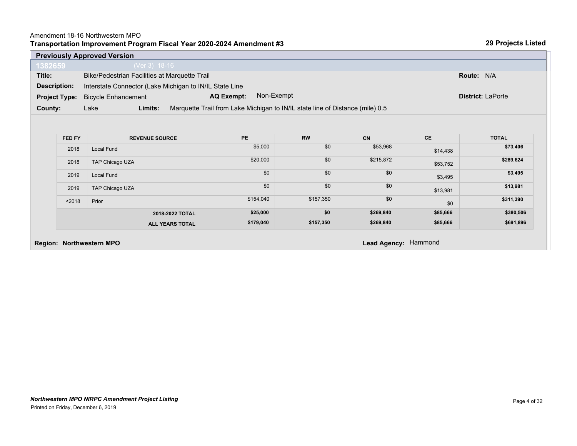#### **Transportation Improvement Program Fiscal Year 2020-2024 Amendment #3** Amendment 18-16 Northwestern MPO

|                                                                                | <b>Previously Approved Version</b>            |                                                                               |           |           |           |                          |
|--------------------------------------------------------------------------------|-----------------------------------------------|-------------------------------------------------------------------------------|-----------|-----------|-----------|--------------------------|
| 1382659                                                                        | (Ver 3) 18-16                                 |                                                                               |           |           |           |                          |
| Title:                                                                         | Bike/Pedestrian Facilities at Marquette Trail |                                                                               |           |           |           | Route: N/A               |
| Interstate Connector (Lake Michigan to IN/IL State Line<br><b>Description:</b> |                                               |                                                                               |           |           |           |                          |
| <b>Project Type:</b>                                                           | <b>Bicycle Enhancement</b>                    | Non-Exempt<br>AQ Exempt:                                                      |           |           |           | <b>District: LaPorte</b> |
| County:                                                                        | Limits:<br>Lake                               | Marquette Trail from Lake Michigan to IN/IL state line of Distance (mile) 0.5 |           |           |           |                          |
|                                                                                |                                               |                                                                               |           |           |           |                          |
|                                                                                |                                               |                                                                               |           |           |           |                          |
| FED FY                                                                         | <b>REVENUE SOURCE</b>                         | PE                                                                            | <b>RW</b> | CN        | <b>CE</b> | <b>TOTAL</b>             |
| 2018                                                                           | Local Fund                                    | \$5,000                                                                       | \$0       | \$53,968  | \$14,438  | \$73,406                 |
| 2018                                                                           | TAP Chicago UZA                               | \$20,000                                                                      | \$0       | \$215,872 | \$53,752  | \$289,624                |
| 2019                                                                           | Local Fund                                    | \$0                                                                           | \$0       | \$0       | \$3,495   | \$3,495                  |
| 2019                                                                           | TAP Chicago UZA                               | \$0                                                                           | \$0       | \$0       | \$13,981  | \$13,981                 |
| < 2018                                                                         | Prior                                         | \$154,040                                                                     | \$157,350 | \$0       | \$0       | \$311,390                |
|                                                                                | 2018-2022 TOTAL                               | \$25,000                                                                      | \$0       | \$269,840 | \$85,666  | \$380,506                |
|                                                                                | <b>ALL YEARS TOTAL</b>                        | \$179,040                                                                     | \$157,350 | \$269,840 | \$85,666  | \$691,896                |

### **Region: Northwestern MPO Lead Agency:** Hammond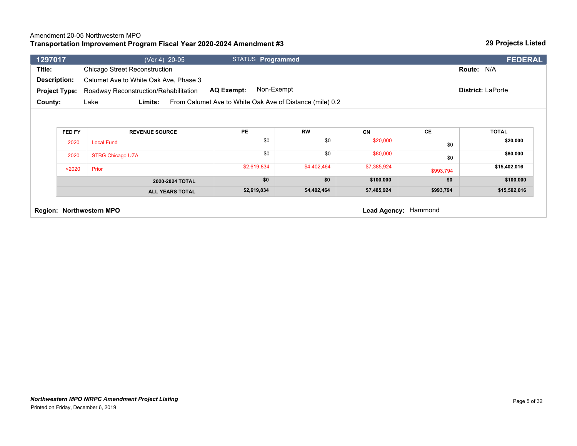#### Amendment 20-05 Northwestern MPO

#### **Transportation Improvement Program Fiscal Year 2020-2024 Amendment #3**

| Chicago Street Reconstruction<br>Calumet Ave to White Oak Ave, Phase 3<br>Roadway Reconstruction/Rehabilitation<br>Limits: | Non-Exempt<br><b>AQ Exempt:</b>                  |                                                          |                  |                       | Route: N/A<br><b>District: LaPorte</b> |
|----------------------------------------------------------------------------------------------------------------------------|--------------------------------------------------|----------------------------------------------------------|------------------|-----------------------|----------------------------------------|
|                                                                                                                            |                                                  |                                                          |                  |                       |                                        |
|                                                                                                                            |                                                  |                                                          |                  |                       |                                        |
|                                                                                                                            |                                                  |                                                          |                  |                       |                                        |
|                                                                                                                            |                                                  | From Calumet Ave to White Oak Ave of Distance (mile) 0.2 |                  |                       |                                        |
|                                                                                                                            |                                                  |                                                          |                  |                       |                                        |
|                                                                                                                            |                                                  |                                                          |                  |                       | <b>TOTAL</b>                           |
|                                                                                                                            |                                                  |                                                          |                  |                       |                                        |
|                                                                                                                            |                                                  |                                                          |                  | \$0                   | \$20,000                               |
|                                                                                                                            | \$0                                              | \$0                                                      | \$80,000         | \$0                   | \$80,000                               |
|                                                                                                                            | \$2,619,834                                      | \$4,402,464                                              | \$7,385,924      | \$993,794             | \$15,402,016                           |
| 2020-2024 TOTAL                                                                                                            | \$0                                              | \$0                                                      | \$100,000        | \$0                   | \$100,000                              |
| <b>ALL YEARS TOTAL</b>                                                                                                     | \$2,619,834                                      | \$4,402,464                                              | \$7,485,924      | \$993,794             | \$15,502,016                           |
| <b>Local Fund</b>                                                                                                          | <b>REVENUE SOURCE</b><br><b>STBG Chicago UZA</b> | PE<br>\$0                                                | <b>RW</b><br>\$0 | <b>CN</b><br>\$20,000 | CE                                     |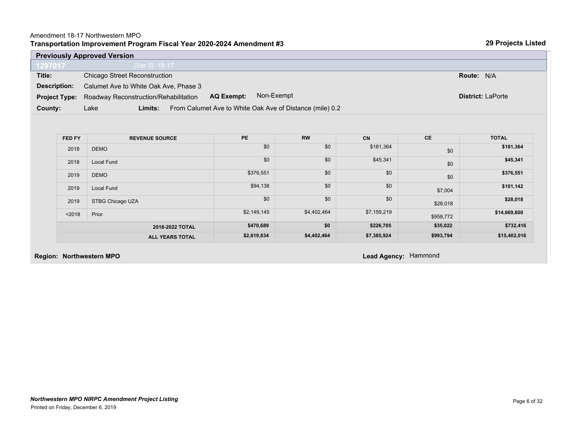| 2018   | Local Fund             | \$0         | \$0         | \$45,341    | \$0       | \$45,341     |
|--------|------------------------|-------------|-------------|-------------|-----------|--------------|
| 2019   | <b>DEMO</b>            | \$376,551   | \$0         | \$0         | \$0       | \$376,551    |
| 2019   | Local Fund             | \$94,138    | \$0         | \$0         | \$7,004   | \$101,142    |
| 2019   | STBG Chicago UZA       | \$0         | \$0         | \$0         | \$28,018  | \$28,018     |
| < 2018 | Prior                  | \$2,149,145 | \$4,402,464 | \$7,159,219 | \$958,772 | \$14,669,600 |
|        | 2018-2022 TOTAL        | \$470,689   | \$0         | \$226,705   | \$35,022  | \$732,416    |
|        | <b>ALL YEARS TOTAL</b> | \$2,619,834 | \$4,402,464 | \$7,385,924 | \$993,794 | \$15,402,016 |

**Region: Northwestern MPO Lead Agency:** Hammond

\$0

# Amendment 18-17 Northwestern MPO

**Transportation Improvement Program Fiscal Year 2020-2024 Amendment #3**

|                      | <b>Previously Approved Version</b>                                          |                          |  |  |  |  |  |
|----------------------|-----------------------------------------------------------------------------|--------------------------|--|--|--|--|--|
| 1297017              | $(Ver 3) 18-17$                                                             |                          |  |  |  |  |  |
| Title:               | Chicago Street Reconstruction                                               | Route: N/A               |  |  |  |  |  |
| Description:         | Calumet Ave to White Oak Ave, Phase 3                                       |                          |  |  |  |  |  |
| <b>Project Type:</b> | Non-Exempt<br><b>AQ Exempt:</b><br>Roadway Reconstruction/Rehabilitation    | <b>District: LaPorte</b> |  |  |  |  |  |
| County:              | From Calumet Ave to White Oak Ave of Distance (mile) 0.2<br>Lake<br>Limits: |                          |  |  |  |  |  |

**FED FY REVENUE SOURCE PE RW CN CE TOTAL**

 $2018$  DEMO  $$0$   $$0$   $$0$ 

Page 6 of 32

**29 Projects Listed**

**\$181,364**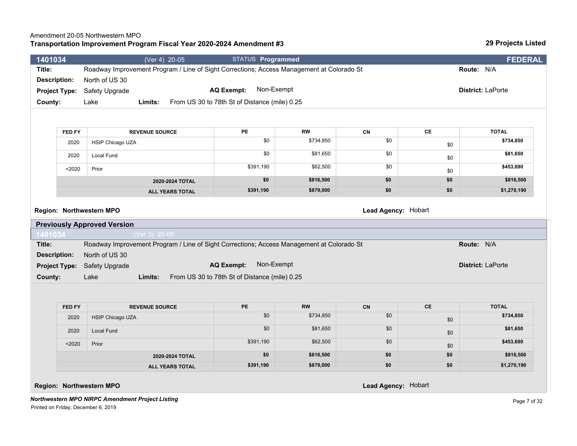#### Amendment 20-05 Northwestern MPO

#### **Transportation Improvement Program Fiscal Year 2020-2024 Amendment #3**

Page 7 of 32

| 1401034              |               | (Ver 4) 20-05                                                                             | STATUS Programmed                             |           |                     |                | <b>FEDERAL</b>           |
|----------------------|---------------|-------------------------------------------------------------------------------------------|-----------------------------------------------|-----------|---------------------|----------------|--------------------------|
| Title:               |               | Roadway Improvement Program / Line of Sight Corrections; Access Management at Colorado St |                                               |           |                     |                | Route: N/A               |
| <b>Description:</b>  |               | North of US 30                                                                            |                                               |           |                     |                |                          |
| <b>Project Type:</b> |               | Safety Upgrade                                                                            | Non-Exempt<br><b>AQ Exempt:</b>               |           |                     |                | <b>District: LaPorte</b> |
| County:              |               | Lake<br>Limits:                                                                           | From US 30 to 78th St of Distance (mile) 0.25 |           |                     |                |                          |
|                      |               |                                                                                           |                                               |           |                     |                |                          |
|                      |               |                                                                                           |                                               |           |                     |                |                          |
|                      | <b>FED FY</b> | <b>REVENUE SOURCE</b>                                                                     | <b>PE</b>                                     | <b>RW</b> | CN                  | CE             | <b>TOTAL</b>             |
|                      | 2020          | HSIP Chicago UZA                                                                          | \$0                                           | \$734,850 | \$0                 | \$0            | \$734,850                |
|                      | 2020          | Local Fund                                                                                | \$0                                           | \$81,650  | \$0                 | \$0            | \$81,650                 |
|                      | $2020$        | Prior                                                                                     | \$391,190                                     | \$62,500  | \$0                 | \$0            | \$453,690                |
|                      |               | 2020-2024 TOTAL                                                                           | \$0                                           | \$816,500 | \$0                 | \$0            | \$816,500                |
|                      |               | <b>ALL YEARS TOTAL</b>                                                                    | \$391,190                                     | \$879,000 | \$0                 | \$0            | \$1,270,190              |
|                      |               |                                                                                           |                                               |           |                     |                |                          |
|                      |               | Region: Northwestern MPO                                                                  |                                               |           | Lead Agency: Hobart |                |                          |
|                      |               | <b>Previously Approved Version</b>                                                        |                                               |           |                     |                |                          |
| 1401034              |               | (Ver 3) 20-00                                                                             |                                               |           |                     |                |                          |
| Title:               |               | Roadway Improvement Program / Line of Sight Corrections; Access Management at Colorado St |                                               |           |                     |                | Route: N/A               |
| <b>Description:</b>  |               | North of US 30                                                                            |                                               |           |                     |                |                          |
| <b>Project Type:</b> |               | Safety Upgrade                                                                            | Non-Exempt<br><b>AQ Exempt:</b>               |           |                     |                | <b>District: LaPorte</b> |
| County:              |               | Lake<br>Limits:                                                                           | From US 30 to 78th St of Distance (mile) 0.25 |           |                     |                |                          |
|                      |               |                                                                                           |                                               |           |                     |                |                          |
|                      |               |                                                                                           |                                               |           |                     |                |                          |
|                      | FED FY        | <b>REVENUE SOURCE</b>                                                                     | PE                                            | <b>RW</b> | CN                  | $\mathsf{CE}$  | <b>TOTAL</b>             |
|                      | 2020          | <b>HSIP Chicago UZA</b>                                                                   | \$0                                           | \$734,850 | \$0                 | \$0            | \$734,850                |
|                      | 2020          | <b>Local Fund</b>                                                                         | \$0                                           | \$81,650  | \$0                 | \$0            | \$81,650                 |
|                      | < 2020        | Prior                                                                                     | \$391,190                                     | \$62,500  | \$0                 | $\mathfrak{m}$ | \$453,690                |

**2020-2024 TOTAL \$0 \$816,500 \$816,500 \$816,500 \$816,500 \$0 \$816,500 \$816,500 ALL YEARS TOTAL \$391,190 \$879,000 \$0 \$0 \$1,270,190** 

\$0

*Northwestern MPO NIRPC Amendment Project Listing*

Printed on Friday, December 6, 2019